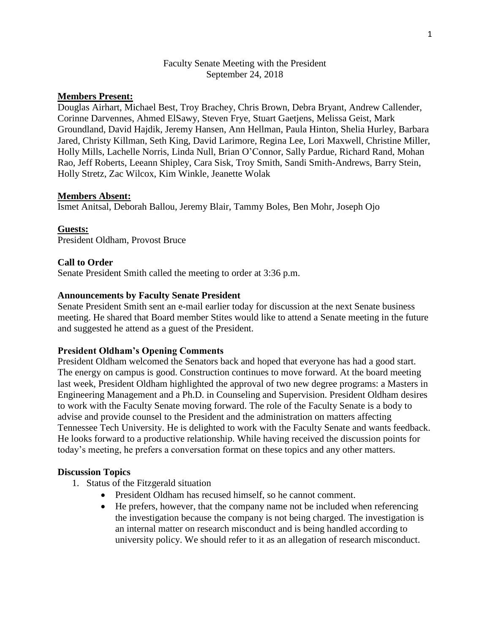## Faculty Senate Meeting with the President September 24, 2018

# **Members Present:**

Douglas Airhart, Michael Best, Troy Brachey, Chris Brown, Debra Bryant, Andrew Callender, Corinne Darvennes, Ahmed ElSawy, Steven Frye, Stuart Gaetjens, Melissa Geist, Mark Groundland, David Hajdik, Jeremy Hansen, Ann Hellman, Paula Hinton, Shelia Hurley, Barbara Jared, Christy Killman, Seth King, David Larimore, Regina Lee, Lori Maxwell, Christine Miller, Holly Mills, Lachelle Norris, Linda Null, Brian O'Connor, Sally Pardue, Richard Rand, Mohan Rao, Jeff Roberts, Leeann Shipley, Cara Sisk, Troy Smith, Sandi Smith-Andrews, Barry Stein, Holly Stretz, Zac Wilcox, Kim Winkle, Jeanette Wolak

### **Members Absent:**

Ismet Anitsal, Deborah Ballou, Jeremy Blair, Tammy Boles, Ben Mohr, Joseph Ojo

**Guests:** President Oldham, Provost Bruce

## **Call to Order**

Senate President Smith called the meeting to order at 3:36 p.m.

## **Announcements by Faculty Senate President**

Senate President Smith sent an e-mail earlier today for discussion at the next Senate business meeting. He shared that Board member Stites would like to attend a Senate meeting in the future and suggested he attend as a guest of the President.

### **President Oldham's Opening Comments**

President Oldham welcomed the Senators back and hoped that everyone has had a good start. The energy on campus is good. Construction continues to move forward. At the board meeting last week, President Oldham highlighted the approval of two new degree programs: a Masters in Engineering Management and a Ph.D. in Counseling and Supervision. President Oldham desires to work with the Faculty Senate moving forward. The role of the Faculty Senate is a body to advise and provide counsel to the President and the administration on matters affecting Tennessee Tech University. He is delighted to work with the Faculty Senate and wants feedback. He looks forward to a productive relationship. While having received the discussion points for today's meeting, he prefers a conversation format on these topics and any other matters.

### **Discussion Topics**

- 1. Status of the Fitzgerald situation
	- President Oldham has recused himself, so he cannot comment.
	- He prefers, however, that the company name not be included when referencing the investigation because the company is not being charged. The investigation is an internal matter on research misconduct and is being handled according to university policy. We should refer to it as an allegation of research misconduct.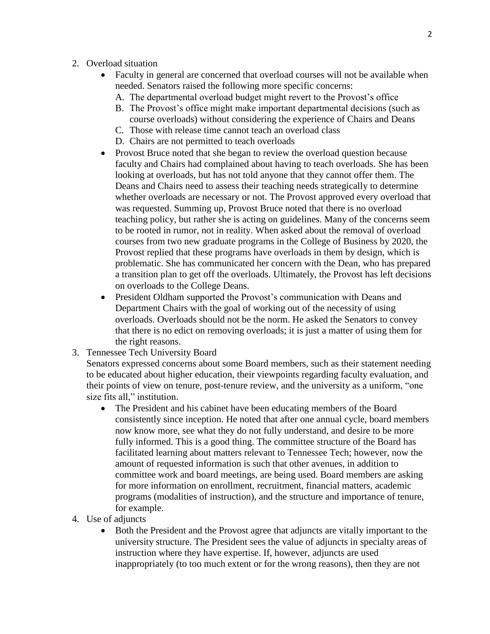- 2. Overload situation
	- Faculty in general are concerned that overload courses will not be available when needed. Senators raised the following more specific concerns:
		- A. The departmental overload budget might revert to the Provost's office
		- B. The Provost's office might make important departmental decisions (such as course overloads) without considering the experience of Chairs and Deans
		- C. Those with release time cannot teach an overload class
		- D. Chairs are not permitted to teach overloads
	- Provost Bruce noted that she began to review the overload question because faculty and Chairs had complained about having to teach overloads. She has been looking at overloads, but has not told anyone that they cannot offer them. The Deans and Chairs need to assess their teaching needs strategically to determine whether overloads are necessary or not. The Provost approved every overload that was requested. Summing up, Provost Bruce noted that there is no overload teaching policy, but rather she is acting on guidelines. Many of the concerns seem to be rooted in rumor, not in reality. When asked about the removal of overload courses from two new graduate programs in the College of Business by 2020, the Provost replied that these programs have overloads in them by design, which is problematic. She has communicated her concern with the Dean, who has prepared a transition plan to get off the overloads. Ultimately, the Provost has left decisions on overloads to the College Deans.
	- President Oldham supported the Provost's communication with Deans and Department Chairs with the goal of working out of the necessity of using overloads. Overloads should not be the norm. He asked the Senators to convey that there is no edict on removing overloads; it is just a matter of using them for the right reasons.
- 3. Tennessee Tech University Board

Senators expressed concerns about some Board members, such as their statement needing to be educated about higher education, their viewpoints regarding faculty evaluation, and their points of view on tenure, post-tenure review, and the university as a uniform, "one size fits all," institution.

- The President and his cabinet have been educating members of the Board consistently since inception. He noted that after one annual cycle, board members now know more, see what they do not fully understand, and desire to be more fully informed. This is a good thing. The committee structure of the Board has facilitated learning about matters relevant to Tennessee Tech; however, now the amount of requested information is such that other avenues, in addition to committee work and board meetings, are being used. Board members are asking for more information on enrollment, recruitment, financial matters, academic programs (modalities of instruction), and the structure and importance of tenure, for example.
- 4. Use of adjuncts
	- Both the President and the Provost agree that adjuncts are vitally important to the university structure. The President sees the value of adjuncts in specialty areas of instruction where they have expertise. If, however, adjuncts are used inappropriately (to too much extent or for the wrong reasons), then they are not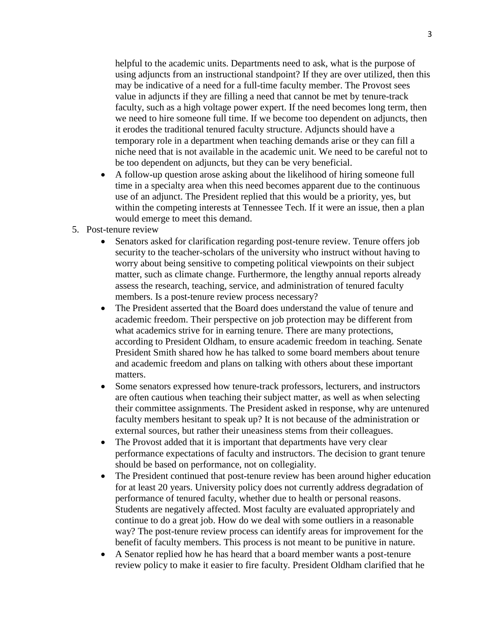helpful to the academic units. Departments need to ask, what is the purpose of using adjuncts from an instructional standpoint? If they are over utilized, then this may be indicative of a need for a full-time faculty member. The Provost sees value in adjuncts if they are filling a need that cannot be met by tenure-track faculty, such as a high voltage power expert. If the need becomes long term, then we need to hire someone full time. If we become too dependent on adjuncts, then it erodes the traditional tenured faculty structure. Adjuncts should have a temporary role in a department when teaching demands arise or they can fill a niche need that is not available in the academic unit. We need to be careful not to be too dependent on adjuncts, but they can be very beneficial.

- A follow-up question arose asking about the likelihood of hiring someone full time in a specialty area when this need becomes apparent due to the continuous use of an adjunct. The President replied that this would be a priority, yes, but within the competing interests at Tennessee Tech. If it were an issue, then a plan would emerge to meet this demand.
- 5. Post-tenure review
	- Senators asked for clarification regarding post-tenure review. Tenure offers job security to the teacher-scholars of the university who instruct without having to worry about being sensitive to competing political viewpoints on their subject matter, such as climate change. Furthermore, the lengthy annual reports already assess the research, teaching, service, and administration of tenured faculty members. Is a post-tenure review process necessary?
	- The President asserted that the Board does understand the value of tenure and academic freedom. Their perspective on job protection may be different from what academics strive for in earning tenure. There are many protections, according to President Oldham, to ensure academic freedom in teaching. Senate President Smith shared how he has talked to some board members about tenure and academic freedom and plans on talking with others about these important matters.
	- Some senators expressed how tenure-track professors, lecturers, and instructors are often cautious when teaching their subject matter, as well as when selecting their committee assignments. The President asked in response, why are untenured faculty members hesitant to speak up? It is not because of the administration or external sources, but rather their uneasiness stems from their colleagues.
	- The Provost added that it is important that departments have very clear performance expectations of faculty and instructors. The decision to grant tenure should be based on performance, not on collegiality.
	- The President continued that post-tenure review has been around higher education for at least 20 years. University policy does not currently address degradation of performance of tenured faculty, whether due to health or personal reasons. Students are negatively affected. Most faculty are evaluated appropriately and continue to do a great job. How do we deal with some outliers in a reasonable way? The post-tenure review process can identify areas for improvement for the benefit of faculty members. This process is not meant to be punitive in nature.
	- A Senator replied how he has heard that a board member wants a post-tenure review policy to make it easier to fire faculty. President Oldham clarified that he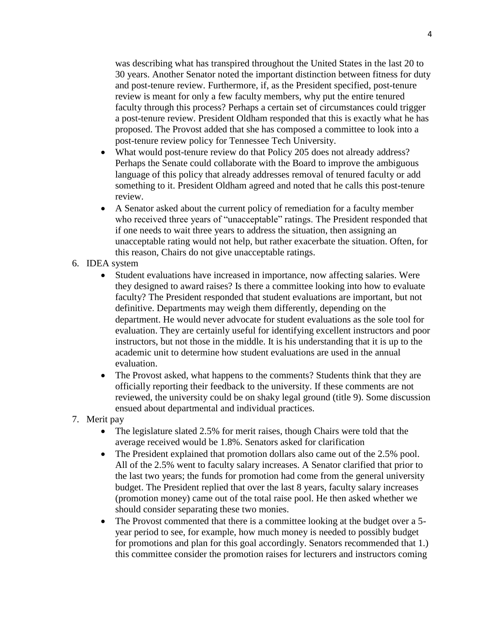was describing what has transpired throughout the United States in the last 20 to 30 years. Another Senator noted the important distinction between fitness for duty and post-tenure review. Furthermore, if, as the President specified, post-tenure review is meant for only a few faculty members, why put the entire tenured faculty through this process? Perhaps a certain set of circumstances could trigger a post-tenure review. President Oldham responded that this is exactly what he has proposed. The Provost added that she has composed a committee to look into a post-tenure review policy for Tennessee Tech University.

- What would post-tenure review do that Policy 205 does not already address? Perhaps the Senate could collaborate with the Board to improve the ambiguous language of this policy that already addresses removal of tenured faculty or add something to it. President Oldham agreed and noted that he calls this post-tenure review.
- A Senator asked about the current policy of remediation for a faculty member who received three years of "unacceptable" ratings. The President responded that if one needs to wait three years to address the situation, then assigning an unacceptable rating would not help, but rather exacerbate the situation. Often, for this reason, Chairs do not give unacceptable ratings.
- 6. IDEA system
	- Student evaluations have increased in importance, now affecting salaries. Were they designed to award raises? Is there a committee looking into how to evaluate faculty? The President responded that student evaluations are important, but not definitive. Departments may weigh them differently, depending on the department. He would never advocate for student evaluations as the sole tool for evaluation. They are certainly useful for identifying excellent instructors and poor instructors, but not those in the middle. It is his understanding that it is up to the academic unit to determine how student evaluations are used in the annual evaluation.
	- The Provost asked, what happens to the comments? Students think that they are officially reporting their feedback to the university. If these comments are not reviewed, the university could be on shaky legal ground (title 9). Some discussion ensued about departmental and individual practices.
- 7. Merit pay
	- The legislature slated 2.5% for merit raises, though Chairs were told that the average received would be 1.8%. Senators asked for clarification
	- The President explained that promotion dollars also came out of the 2.5% pool. All of the 2.5% went to faculty salary increases. A Senator clarified that prior to the last two years; the funds for promotion had come from the general university budget. The President replied that over the last 8 years, faculty salary increases (promotion money) came out of the total raise pool. He then asked whether we should consider separating these two monies.
	- The Provost commented that there is a committee looking at the budget over a 5year period to see, for example, how much money is needed to possibly budget for promotions and plan for this goal accordingly. Senators recommended that 1.) this committee consider the promotion raises for lecturers and instructors coming